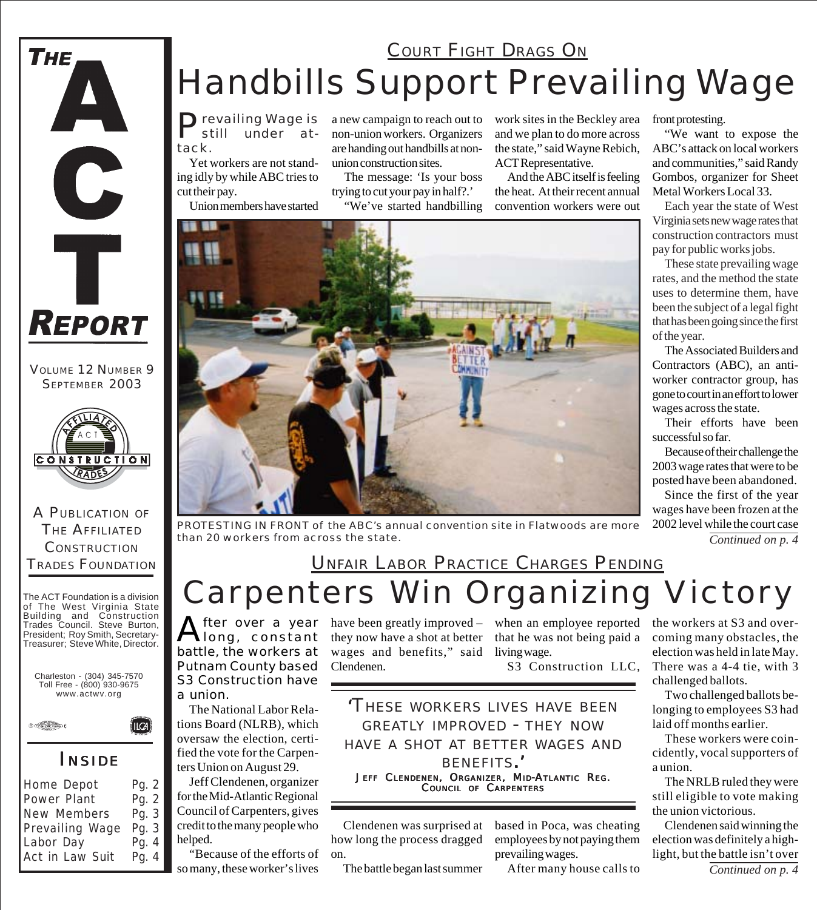

VOLUME 12 NUMBER 9 SEPTEMBER 2003



A PUBLICATION OF THE AFFILIATED **CONSTRUCTION** TRADES FOUNDATION

The ACT Foundation is a division of The West Virginia State Building and Construction Trades Council. Steve Burton, President; Roy Smith, Secretary-Treasurer; Steve White, Director.





#### *I NSIDE*

(llca)

| Home Depot      | Pg. 2 |
|-----------------|-------|
| Power Plant     | Pg. 2 |
| New Members     | Pg. 3 |
| Prevailing Wage | Pg. 3 |
| Labor Day       | Pg. 4 |
| Act in Law Suit | Pg. 4 |

# Handbills Support Prevailing Wage **COURT FIGHT DRAGS ON**

Prevailing Wage is<br>still under atunder tack.

Yet workers are not standing idly by while ABC tries to cut their pay.

Union members have started

a new campaign to reach out to non-union workers. Organizers are handing out handbills at nonunion construction sites.

The message: 'Is your boss trying to cut your pay in half?.'

"We've started handbilling

work sites in the Beckley area and we plan to do more across the state," said Wayne Rebich, ACT Representative.

And the ABC itself is feeling the heat. At their recent annual convention workers were out



*PROTESTING IN FRONT of the ABC's annual convention site in Flatwoods are more than 20 workers from across the state. Continued on p. 4*

### *Carpenters Win Organizing Victory* UNFAIR LABOR PRACTICE CHARGES PENDING

After over a year<br>
Miong, constant battle, the workers at Putnam County based S3 Construction have a union.

The National Labor Relations Board (NLRB), which oversaw the election, certified the vote for the Carpenters Union on August 29.

Jeff Clendenen, organizer for the Mid-Atlantic Regional Council of Carpenters, gives credit to the many people who helped.

"Because of the efforts of so many, these worker's lives

have been greatly improved – when an employee reported they now have a shot at better wages and benefits," said living wage. Clendenen.

that he was not being paid a

S3 Construction LLC,

*'THESE WORKERS LIVES HAVE BEEN GREATLY IMPROVED - THEY NOW HAVE A SHOT AT BETTER WAGES AND BENEFITS.'* JEFF CLENDENEN, ORGANIZER, MID-ATLANTIC REG. COUNCIL OF CARPENTERS

Clendenen was surprised at how long the process dragged on.

The battle began last summer

based in Poca, was cheating employees by not paying them prevailing wages.

After many house calls to

front protesting.

"We want to expose the ABC's attack on local workers and communities," said Randy Gombos, organizer for Sheet Metal Workers Local 33.

Each year the state of West Virginia sets new wage rates that construction contractors must pay for public works jobs.

These state prevailing wage rates, and the method the state uses to determine them, have been the subject of a legal fight that has been going since the first of the year.

The Associated Builders and Contractors (ABC), an antiworker contractor group, has gone to court in an effort to lower wages across the state.

Their efforts have been successful so far.

Because of their challenge the 2003 wage rates that were to be posted have been abandoned.

Since the first of the year wages have been frozen at the 2002 level while the court case

the workers at S3 and overcoming many obstacles, the election was held in late May. There was a 4-4 tie, with 3 challenged ballots.

Two challenged ballots belonging to employees S3 had laid off months earlier.

These workers were coincidently, vocal supporters of a union.

The NRLB ruled they were still eligible to vote making the union victorious.

Clendenen said winning the election was definitely a highlight, but the battle isn't over

*Continued on p. 4*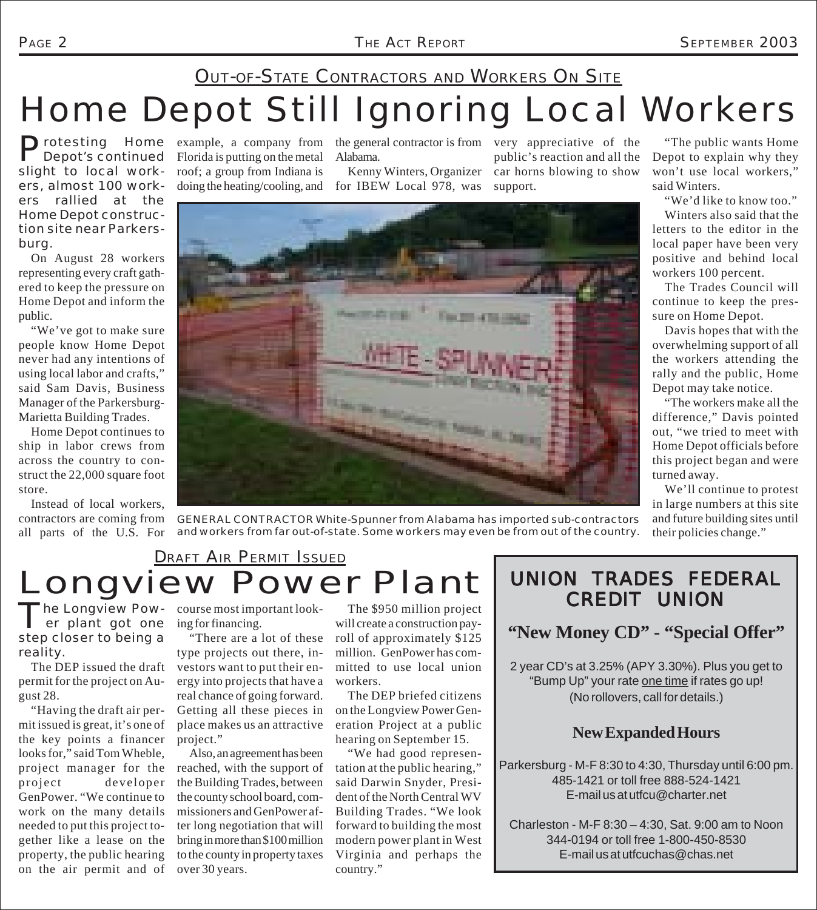"The public wants Home Depot to explain why they won't use local workers,"

"We'd like to know too." Winters also said that the

The Trades Council will

Davis hopes that with the

"The workers make all the

We'll continue to protest

their policies change."

said Winters.

### Home Depot Still Ignoring Local Workers **OUT-OF-STATE CONTRACTORS AND WORKERS ON SITE**

Protesting Home example, a company from the general contractor is from very appreciative of the Depot's continued Florida is putting on the metal Alabama. Depot's continued slight to local workers, almost 100 workers rallied at the Home Depot construction site near Parkersburg.

On August 28 workers representing every craft gathered to keep the pressure on Home Depot and inform the public.

"We've got to make sure people know Home Depot never had any intentions of using local labor and crafts," said Sam Davis, Business Manager of the Parkersburg-Marietta Building Trades.

Home Depot continues to ship in labor crews from across the country to construct the 22,000 square foot store.

Instead of local workers, contractors are coming from all parts of the U.S. For Florida is putting on the metal roof; a group from Indiana is Alabama.

doing the heating/cooling, and for IBEW Local 978, was Kenny Winters, Organizer

public's reaction and all the car horns blowing to show support.



*GENERAL CONTRACTOR White-Spunner from Alabama has imported sub-contractors and workers from far out-of-state. Some workers may even be from out of the country.*

# Longview Power Plant DRAFT AIR PERMIT ISSUED

The Longview Pow-<br>
er plant got one step closer to being a reality.

The DEP issued the draft permit for the project on August 28.

"Having the draft air permit issued is great, it's one of the key points a financer looks for," said Tom Wheble, project manager for the reached, with the support of project developer GenPower. "We continue to work on the many details needed to put this project together like a lease on the property, the public hearing on the air permit and of

course most important looking for financing.

"There are a lot of these type projects out there, investors want to put their energy into projects that have a real chance of going forward. Getting all these pieces in place makes us an attractive project."

Also, an agreement has been the Building Trades, between the county school board, commissioners and GenPower after long negotiation that will bring in more than \$100 million to the county in property taxes over 30 years.

The \$950 million project will create a construction payroll of approximately \$125 million. GenPower has committed to use local union workers.

The DEP briefed citizens on the Longview Power Generation Project at a public hearing on September 15.

"We had good representation at the public hearing," said Darwin Snyder, President of the North Central WV Building Trades. "We look forward to building the most modern power plant in West Virginia and perhaps the country."

#### UNION TRADES FEDERAL CREDIT UNION

**"New Money CD" - "Special Offer"**

2 year CD's at 3.25% (APY 3.30%). Plus you get to "Bump Up" your rate one time if rates go up! (No rollovers, call for details.)

#### **New Expanded Hours**

Parkersburg - M-F 8:30 to 4:30, Thursday until 6:00 pm. 485-1421 or toll free 888-524-1421 E-mail us at utfcu@charter.net

Charleston - M-F 8:30 – 4:30, Sat. 9:00 am to Noon 344-0194 or toll free 1-800-450-8530 E-mail us at utfcuchas@chas.net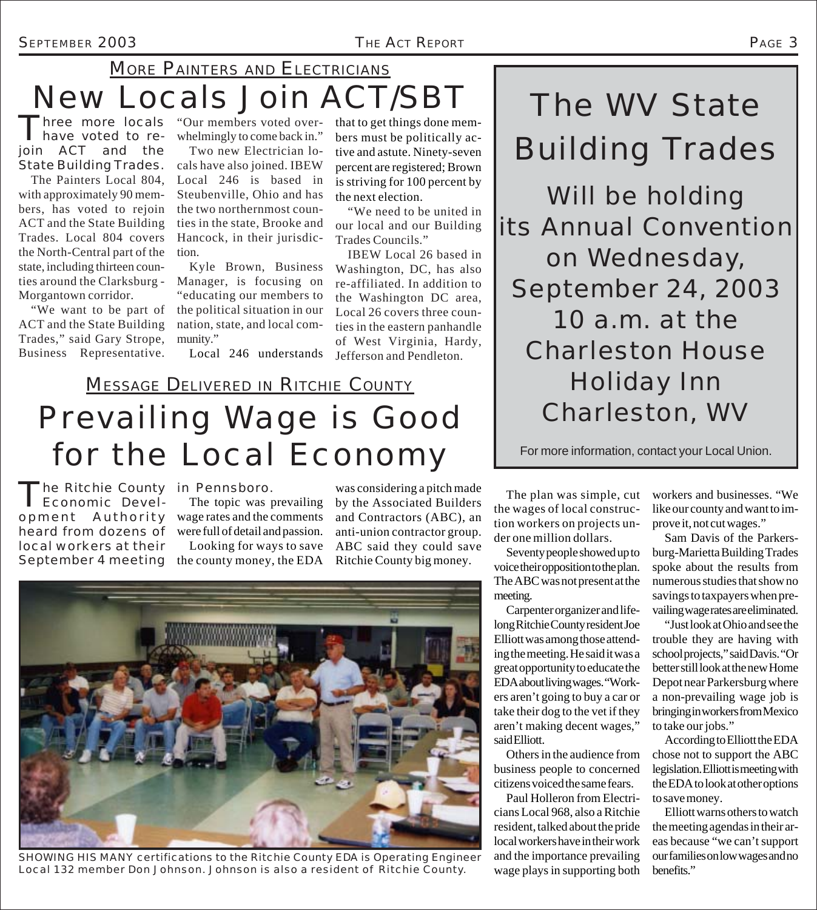### New Locals Join ACT/SBT MORE PAINTERS AND ELECTRICIANS

Three more locals "Our members voted over-<br>have voted to re- whelmingly to come back in." have voted to rejoin ACT and the State Building Trades.

The Painters Local 804, with approximately 90 members, has voted to rejoin ACT and the State Building Trades. Local 804 covers the North-Central part of the state, including thirteen counties around the Clarksburg - Morgantown corridor.

"We want to be part of ACT and the State Building Trades," said Gary Strope, Business Representative.

whelmingly to come back in."

Two new Electrician locals have also joined. IBEW Local 246 is based in Steubenville, Ohio and has the two northernmost counties in the state, Brooke and Hancock, in their jurisdiction.

Kyle Brown, Business Manager, is focusing on "educating our members to the political situation in our nation, state, and local community."

Local 246 understands

that to get things done members must be politically active and astute. Ninety-seven percent are registered; Brown is striving for 100 percent by the next election.

"We need to be united in our local and our Building Trades Councils."

IBEW Local 26 based in Washington, DC, has also re-affiliated. In addition to the Washington DC area, Local 26 covers three counties in the eastern panhandle of West Virginia, Hardy, Jefferson and Pendleton.

# Prevailing Wage is Good for the Local Economy **MESSAGE DELIVERED IN RITCHIE COUNTY**

The Ritchie County<br>
Economic Development Authority heard from dozens of local workers at their September 4 meeting The Ritchie County in Pennsboro.

The topic was prevailing wage rates and the comments were full of detail and passion. Looking for ways to save the county money, the EDA

was considering a pitch made by the Associated Builders and Contractors (ABC), an anti-union contractor group. ABC said they could save Ritchie County big money.



*SHOWING HIS MANY certifications to the Ritchie County EDA is Operating Engineer Local 132 member Don Johnson. Johnson is also a resident of Ritchie County.*

The plan was simple, cut the wages of local construction workers on projects under one million dollars.

Seventy people showed up to voice their opposition to the plan. The ABC was not present at the meeting.

Carpenter organizer and lifelong Ritchie County resident Joe Elliott was among those attending the meeting. He said it was a great opportunity to educate the EDA about living wages. "Workers aren't going to buy a car or take their dog to the vet if they aren't making decent wages," said Elliott.

Others in the audience from business people to concerned citizens voiced the same fears.

Paul Holleron from Electricians Local 968, also a Ritchie resident, talked about the pride local workers have in their work and the importance prevailing wage plays in supporting both

workers and businesses. "We like our county and want to improve it, not cut wages."

Sam Davis of the Parkersburg-Marietta Building Trades spoke about the results from numerous studies that show no savings to taxpayers when prevailing wage rates are eliminated.

"Just look at Ohio and see the trouble they are having with school projects," said Davis. "Or better still look at the new Home Depot near Parkersburg where a non-prevailing wage job is bringing in workers from Mexico to take our jobs."

According to Elliott the EDA chose not to support the ABC legislation. Elliott is meeting with the EDA to look at other options to save money.

Elliott warns others to watch the meeting agendas in their areas because "we can't support our families on low wages and no benefits."

The WV State

Building Trades

Will be holding

its Annual Convention

*on Wednesday,*

*September 24, 2003*

*10 a.m. at the*

Charleston House

Holiday Inn

Charleston, WV

For more information, contact your Local Union.